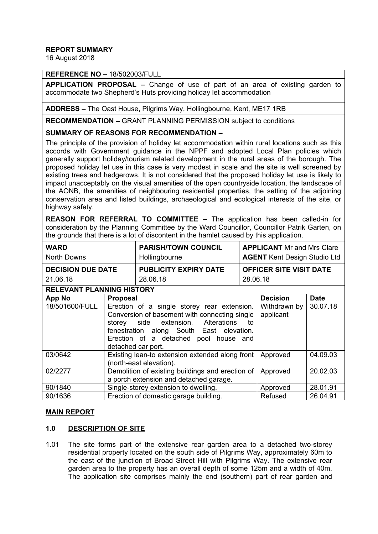## **REPORT SUMMARY**

16 August 2018

## **REFERENCE NO –** 18/502003/FULL

**APPLICATION PROPOSAL –** Change of use of part of an area of existing garden to accommodate two Shepherd's Huts providing holiday let accommodation

**ADDRESS –** The Oast House, Pilgrims Way, Hollingbourne, Kent, ME17 1RB

**RECOMMENDATION –** GRANT PLANNING PERMISSION subject to conditions

#### **SUMMARY OF REASONS FOR RECOMMENDATION –**

The principle of the provision of holiday let accommodation within rural locations such as this accords with Government guidance in the NPPF and adopted Local Plan policies which generally support holiday/tourism related development in the rural areas of the borough. The proposed holiday let use in this case is very modest in scale and the site is well screened by existing trees and hedgerows. It is not considered that the proposed holiday let use is likely to impact unacceptably on the visual amenities of the open countryside location, the landscape of the AONB, the amenities of neighbouring residential properties, the setting of the adjoining conservation area and listed buildings, archaeological and ecological interests of the site, or highway safety.

**REASON FOR REFERRAL TO COMMITTEE –** The application has been called-in for consideration by the Planning Committee by the Ward Councillor, Councillor Patrik Garten, on the grounds that there is a lot of discontent in the hamlet caused by this application.

| <b>WARD</b>                      |                                                                                                                                                                                                                                                     | <b>PARISH/TOWN COUNCIL</b>   | <b>APPLICANT</b> Mr and Mrs Clare |                                     |             |  |
|----------------------------------|-----------------------------------------------------------------------------------------------------------------------------------------------------------------------------------------------------------------------------------------------------|------------------------------|-----------------------------------|-------------------------------------|-------------|--|
| <b>North Downs</b>               |                                                                                                                                                                                                                                                     | Hollingbourne                |                                   | <b>AGENT Kent Design Studio Ltd</b> |             |  |
| <b>DECISION DUE DATE</b>         |                                                                                                                                                                                                                                                     | <b>PUBLICITY EXPIRY DATE</b> |                                   | <b>OFFICER SITE VISIT DATE</b>      |             |  |
| 21.06.18                         |                                                                                                                                                                                                                                                     | 28.06.18                     |                                   | 28.06.18                            |             |  |
| <b>RELEVANT PLANNING HISTORY</b> |                                                                                                                                                                                                                                                     |                              |                                   |                                     |             |  |
| <b>App No</b>                    | <b>Proposal</b>                                                                                                                                                                                                                                     |                              |                                   | <b>Decision</b>                     | <b>Date</b> |  |
| 18/501600/FULL                   | Erection of a single storey rear extension.<br>Conversion of basement with connecting single<br>storey side extension. Alterations<br>to<br>fenestration along South East elevation.<br>Erection of a detached pool house and<br>detached car port. |                              |                                   | Withdrawn by<br>applicant           | 30.07.18    |  |
| 03/0642                          | Existing lean-to extension extended along front<br>(north-east elevation).                                                                                                                                                                          |                              |                                   | Approved                            | 04.09.03    |  |
| 02/2277                          | Demolition of existing buildings and erection of<br>a porch extension and detached garage.                                                                                                                                                          |                              |                                   | Approved                            | 20.02.03    |  |
| 90/1840                          | Single-storey extension to dwelling.                                                                                                                                                                                                                |                              |                                   | Approved                            | 28.01.91    |  |
| 90/1636                          | Erection of domestic garage building.                                                                                                                                                                                                               |                              |                                   | Refused                             | 26.04.91    |  |

### **MAIN REPORT**

### **1.0 DESCRIPTION OF SITE**

1.01 The site forms part of the extensive rear garden area to a detached two-storey residential property located on the south side of Pilgrims Way, approximately 60m to the east of the junction of Broad Street Hill with Pilgrims Way. The extensive rear garden area to the property has an overall depth of some 125m and a width of 40m. The application site comprises mainly the end (southern) part of rear garden and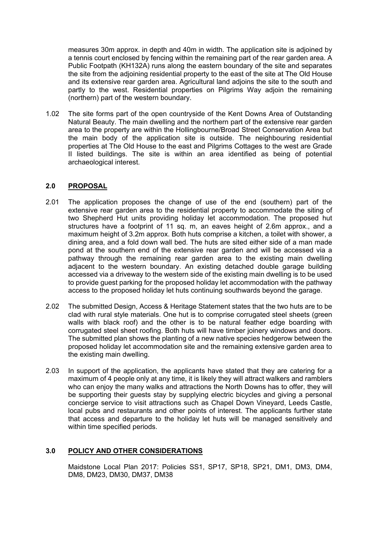measures 30m approx. in depth and 40m in width. The application site is adjoined by a tennis court enclosed by fencing within the remaining part of the rear garden area. A Public Footpath (KH132A) runs along the eastern boundary of the site and separates the site from the adjoining residential property to the east of the site at The Old House and its extensive rear garden area. Agricultural land adjoins the site to the south and partly to the west. Residential properties on Pilgrims Way adjoin the remaining (northern) part of the western boundary.

1.02 The site forms part of the open countryside of the Kent Downs Area of Outstanding Natural Beauty. The main dwelling and the northern part of the extensive rear garden area to the property are within the Hollingbourne/Broad Street Conservation Area but the main body of the application site is outside. The neighbouring residential properties at The Old House to the east and Pilgrims Cottages to the west are Grade II listed buildings. The site is within an area identified as being of potential archaeological interest.

### **2.0 PROPOSAL**

- 2.01 The application proposes the change of use of the end (southern) part of the extensive rear garden area to the residential property to accommodate the siting of two Shepherd Hut units providing holiday let accommodation. The proposed hut structures have a footprint of 11 sq. m, an eaves height of 2.6m approx., and a maximum height of 3.2m approx. Both huts comprise a kitchen, a toilet with shower, a dining area, and a fold down wall bed. The huts are sited either side of a man made pond at the southern end of the extensive rear garden and will be accessed via a pathway through the remaining rear garden area to the existing main dwelling adjacent to the western boundary. An existing detached double garage building accessed via a driveway to the western side of the existing main dwelling is to be used to provide guest parking for the proposed holiday let accommodation with the pathway access to the proposed holiday let huts continuing southwards beyond the garage.
- 2.02 The submitted Design, Access & Heritage Statement states that the two huts are to be clad with rural style materials. One hut is to comprise corrugated steel sheets (green walls with black roof) and the other is to be natural feather edge boarding with corrugated steel sheet roofing. Both huts will have timber joinery windows and doors. The submitted plan shows the planting of a new native species hedgerow between the proposed holiday let accommodation site and the remaining extensive garden area to the existing main dwelling.
- 2.03 In support of the application, the applicants have stated that they are catering for a maximum of 4 people only at any time, it is likely they will attract walkers and ramblers who can enjoy the many walks and attractions the North Downs has to offer, they will be supporting their guests stay by supplying electric bicycles and giving a personal concierge service to visit attractions such as Chapel Down Vineyard, Leeds Castle, local pubs and restaurants and other points of interest. The applicants further state that access and departure to the holiday let huts will be managed sensitively and within time specified periods.

### **3.0 POLICY AND OTHER CONSIDERATIONS**

Maidstone Local Plan 2017: Policies SS1, SP17, SP18, SP21, DM1, DM3, DM4, DM8, DM23, DM30, DM37, DM38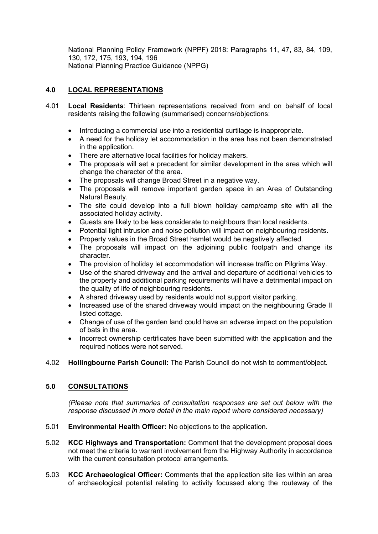National Planning Policy Framework (NPPF) 2018: Paragraphs 11, 47, 83, 84, 109, 130, 172, 175, 193, 194, 196 National Planning Practice Guidance (NPPG)

# **4.0 LOCAL REPRESENTATIONS**

- 4.01 **Local Residents**: Thirteen representations received from and on behalf of local residents raising the following (summarised) concerns/objections:
	- Introducing a commercial use into a residential curtilage is inappropriate.
	- A need for the holiday let accommodation in the area has not been demonstrated in the application.
	- There are alternative local facilities for holiday makers.
	- The proposals will set a precedent for similar development in the area which will change the character of the area.
	- The proposals will change Broad Street in a negative way.
	- The proposals will remove important garden space in an Area of Outstanding Natural Beauty.
	- The site could develop into a full blown holiday camp/camp site with all the associated holiday activity.
	- Guests are likely to be less considerate to neighbours than local residents.
	- Potential light intrusion and noise pollution will impact on neighbouring residents.
	- Property values in the Broad Street hamlet would be negatively affected.
	- The proposals will impact on the adjoining public footpath and change its character.
	- The provision of holiday let accommodation will increase traffic on Pilgrims Way.
	- Use of the shared driveway and the arrival and departure of additional vehicles to the property and additional parking requirements will have a detrimental impact on the quality of life of neighbouring residents.
	- A shared driveway used by residents would not support visitor parking.
	- Increased use of the shared driveway would impact on the neighbouring Grade II listed cottage.
	- Change of use of the garden land could have an adverse impact on the population of bats in the area.
	- Incorrect ownership certificates have been submitted with the application and the required notices were not served.
- 4.02 **Hollingbourne Parish Council:** The Parish Council do not wish to comment/object.

# **5.0 CONSULTATIONS**

*(Please note that summaries of consultation responses are set out below with the response discussed in more detail in the main report where considered necessary)*

- 5.01 **Environmental Health Officer:** No objections to the application.
- 5.02 **KCC Highways and Transportation:** Comment that the development proposal does not meet the criteria to warrant involvement from the Highway Authority in accordance with the current consultation protocol arrangements.
- 5.03 **KCC Archaeological Officer:** Comments that the application site lies within an area of archaeological potential relating to activity focussed along the routeway of the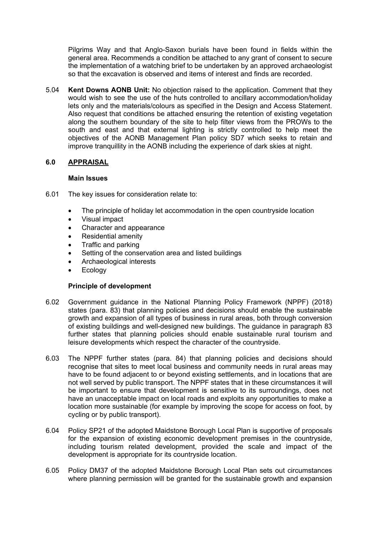Pilgrims Way and that Anglo-Saxon burials have been found in fields within the general area. Recommends a condition be attached to any grant of consent to secure the implementation of a watching brief to be undertaken by an approved archaeologist so that the excavation is observed and items of interest and finds are recorded.

5.04 **Kent Downs AONB Unit:** No objection raised to the application. Comment that they would wish to see the use of the huts controlled to ancillary accommodation/holiday lets only and the materials/colours as specified in the Design and Access Statement. Also request that conditions be attached ensuring the retention of existing vegetation along the southern boundary of the site to help filter views from the PROWs to the south and east and that external lighting is strictly controlled to help meet the objectives of the AONB Management Plan policy SD7 which seeks to retain and improve tranquillity in the AONB including the experience of dark skies at night.

## **6.0 APPRAISAL**

#### **Main Issues**

- 6.01 The key issues for consideration relate to:
	- The principle of holiday let accommodation in the open countryside location
	- Visual impact
	- Character and appearance
	- Residential amenity
	- Traffic and parking
	- Setting of the conservation area and listed buildings
	- Archaeological interests
	- Ecology

### **Principle of development**

- 6.02 Government guidance in the National Planning Policy Framework (NPPF) (2018) states (para. 83) that planning policies and decisions should enable the sustainable growth and expansion of all types of business in rural areas, both through conversion of existing buildings and well-designed new buildings. The guidance in paragraph 83 further states that planning policies should enable sustainable rural tourism and leisure developments which respect the character of the countryside.
- 6.03 The NPPF further states (para. 84) that planning policies and decisions should recognise that sites to meet local business and community needs in rural areas may have to be found adjacent to or beyond existing settlements, and in locations that are not well served by public transport. The NPPF states that in these circumstances it will be important to ensure that development is sensitive to its surroundings, does not have an unacceptable impact on local roads and exploits any opportunities to make a location more sustainable (for example by improving the scope for access on foot, by cycling or by public transport).
- 6.04 Policy SP21 of the adopted Maidstone Borough Local Plan is supportive of proposals for the expansion of existing economic development premises in the countryside, including tourism related development, provided the scale and impact of the development is appropriate for its countryside location.
- 6.05 Policy DM37 of the adopted Maidstone Borough Local Plan sets out circumstances where planning permission will be granted for the sustainable growth and expansion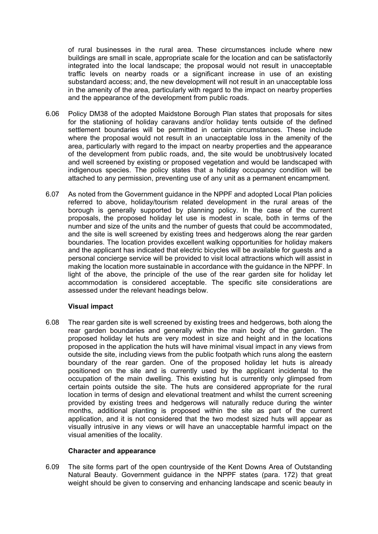of rural businesses in the rural area. These circumstances include where new buildings are small in scale, appropriate scale for the location and can be satisfactorily integrated into the local landscape; the proposal would not result in unacceptable traffic levels on nearby roads or a significant increase in use of an existing substandard access; and, the new development will not result in an unacceptable loss in the amenity of the area, particularly with regard to the impact on nearby properties and the appearance of the development from public roads.

- 6.06 Policy DM38 of the adopted Maidstone Borough Plan states that proposals for sites for the stationing of holiday caravans and/or holiday tents outside of the defined settlement boundaries will be permitted in certain circumstances. These include where the proposal would not result in an unacceptable loss in the amenity of the area, particularly with regard to the impact on nearby properties and the appearance of the development from public roads, and, the site would be unobtrusively located and well screened by existing or proposed vegetation and would be landscaped with indigenous species. The policy states that a holiday occupancy condition will be attached to any permission, preventing use of any unit as a permanent encampment.
- 6.07 As noted from the Government guidance in the NPPF and adopted Local Plan policies referred to above, holiday/tourism related development in the rural areas of the borough is generally supported by planning policy. In the case of the current proposals, the proposed holiday let use is modest in scale, both in terms of the number and size of the units and the number of guests that could be accommodated, and the site is well screened by existing trees and hedgerows along the rear garden boundaries. The location provides excellent walking opportunities for holiday makers and the applicant has indicated that electric bicycles will be available for guests and a personal concierge service will be provided to visit local attractions which will assist in making the location more sustainable in accordance with the guidance in the NPPF. In light of the above, the principle of the use of the rear garden site for holiday let accommodation is considered acceptable. The specific site considerations are assessed under the relevant headings below.

### **Visual impact**

6.08 The rear garden site is well screened by existing trees and hedgerows, both along the rear garden boundaries and generally within the main body of the garden. The proposed holiday let huts are very modest in size and height and in the locations proposed in the application the huts will have minimal visual impact in any views from outside the site, including views from the public footpath which runs along the eastern boundary of the rear garden. One of the proposed holiday let huts is already positioned on the site and is currently used by the applicant incidental to the occupation of the main dwelling. This existing hut is currently only glimpsed from certain points outside the site. The huts are considered appropriate for the rural location in terms of design and elevational treatment and whilst the current screening provided by existing trees and hedgerows will naturally reduce during the winter months, additional planting is proposed within the site as part of the current application, and it is not considered that the two modest sized huts will appear as visually intrusive in any views or will have an unacceptable harmful impact on the visual amenities of the locality.

#### **Character and appearance**

6.09 The site forms part of the open countryside of the Kent Downs Area of Outstanding Natural Beauty. Government guidance in the NPPF states (para. 172) that great weight should be given to conserving and enhancing landscape and scenic beauty in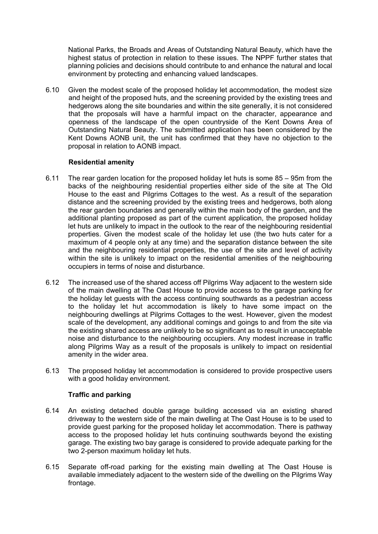National Parks, the Broads and Areas of Outstanding Natural Beauty, which have the highest status of protection in relation to these issues. The NPPF further states that planning policies and decisions should contribute to and enhance the natural and local environment by protecting and enhancing valued landscapes.

6.10 Given the modest scale of the proposed holiday let accommodation, the modest size and height of the proposed huts, and the screening provided by the existing trees and hedgerows along the site boundaries and within the site generally, it is not considered that the proposals will have a harmful impact on the character, appearance and openness of the landscape of the open countryside of the Kent Downs Area of Outstanding Natural Beauty. The submitted application has been considered by the Kent Downs AONB unit, the unit has confirmed that they have no objection to the proposal in relation to AONB impact.

### **Residential amenity**

- 6.11 The rear garden location for the proposed holiday let huts is some 85 95m from the backs of the neighbouring residential properties either side of the site at The Old House to the east and Pilgrims Cottages to the west. As a result of the separation distance and the screening provided by the existing trees and hedgerows, both along the rear garden boundaries and generally within the main body of the garden, and the additional planting proposed as part of the current application, the proposed holiday let huts are unlikely to impact in the outlook to the rear of the neighbouring residential properties. Given the modest scale of the holiday let use (the two huts cater for a maximum of 4 people only at any time) and the separation distance between the site and the neighbouring residential properties, the use of the site and level of activity within the site is unlikely to impact on the residential amenities of the neighbouring occupiers in terms of noise and disturbance.
- 6.12 The increased use of the shared access off Pilgrims Way adjacent to the western side of the main dwelling at The Oast House to provide access to the garage parking for the holiday let guests with the access continuing southwards as a pedestrian access to the holiday let hut accommodation is likely to have some impact on the neighbouring dwellings at Pilgrims Cottages to the west. However, given the modest scale of the development, any additional comings and goings to and from the site via the existing shared access are unlikely to be so significant as to result in unacceptable noise and disturbance to the neighbouring occupiers. Any modest increase in traffic along Pilgrims Way as a result of the proposals is unlikely to impact on residential amenity in the wider area.
- 6.13 The proposed holiday let accommodation is considered to provide prospective users with a good holiday environment.

### **Traffic and parking**

- 6.14 An existing detached double garage building accessed via an existing shared driveway to the western side of the main dwelling at The Oast House is to be used to provide guest parking for the proposed holiday let accommodation. There is pathway access to the proposed holiday let huts continuing southwards beyond the existing garage. The existing two bay garage is considered to provide adequate parking for the two 2-person maximum holiday let huts.
- 6.15 Separate off-road parking for the existing main dwelling at The Oast House is available immediately adjacent to the western side of the dwelling on the Pilgrims Way frontage.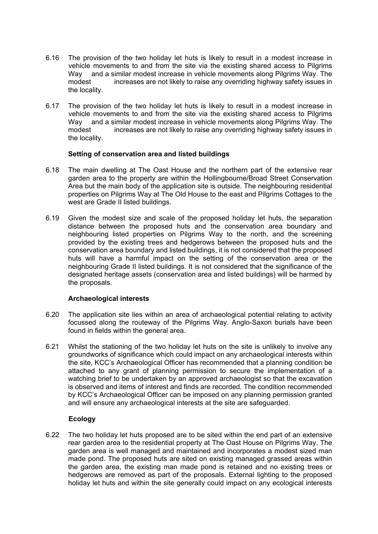- 6.16 The provision of the two holiday let huts is likely to result in a modest increase in vehicle movements to and from the site via the existing shared access to Pilgrims Way and a similar modest increase in vehicle movements along Pilgrims Way. The modest increases are not likely to raise any overriding highway safety issues in the locality.
- 6.17 The provision of the two holiday let huts is likely to result in a modest increase in vehicle movements to and from the site via the existing shared access to Pilgrims Way and a similar modest increase in vehicle movements along Pilgrims Way. The modest increases are not likely to raise any overriding highway safety issues in the locality.

### **Setting of conservation area and listed buildings**

- 6.18 The main dwelling at The Oast House and the northern part of the extensive rear garden area to the property are within the Hollingbourne/Broad Street Conservation Area but the main body of the application site is outside. The neighbouring residential properties on Pilgrims Way at The Old House to the east and Pilgrims Cottages to the west are Grade II listed buildings.
- 6.19 Given the modest size and scale of the proposed holiday let huts, the separation distance between the proposed huts and the conservation area boundary and neighbouring listed properties on Pilgrims Way to the north, and the screening provided by the existing trees and hedgerows between the proposed huts and the conservation area boundary and listed buildings, it is not considered that the proposed huts will have a harmful impact on the setting of the conservation area or the neighbouring Grade II listed buildings. It is not considered that the significance of the designated heritage assets (conservation area and listed buildings) will be harmed by the proposals.

### **Archaeological interests**

- 6.20 The application site lies within an area of archaeological potential relating to activity focussed along the routeway of the Pilgrims Way. Anglo-Saxon burials have been found in fields within the general area.
- 6.21 Whilst the stationing of the two holiday let huts on the site is unlikely to involve any groundworks of significance which could impact on any archaeological interests within the site, KCC's Archaeological Officer has recommended that a planning condition be attached to any grant of planning permission to secure the implementation of a watching brief to be undertaken by an approved archaeologist so that the excavation is observed and items of interest and finds are recorded. The condition recommended by KCC's Archaeological Officer can be imposed on any planning permission granted and will ensure any archaeological interests at the site are safeguarded.

# **Ecology**

6.22 The two holiday let huts proposed are to be sited within the end part of an extensive rear garden area to the residential property at The Oast House on Pilgrims Way. The garden area is well managed and maintained and incorporates a modest sized man made pond. The proposed huts are sited on existing managed grassed areas within the garden area, the existing man made pond is retained and no existing trees or hedgerows are removed as part of the proposals. External lighting to the proposed holiday let huts and within the site generally could impact on any ecological interests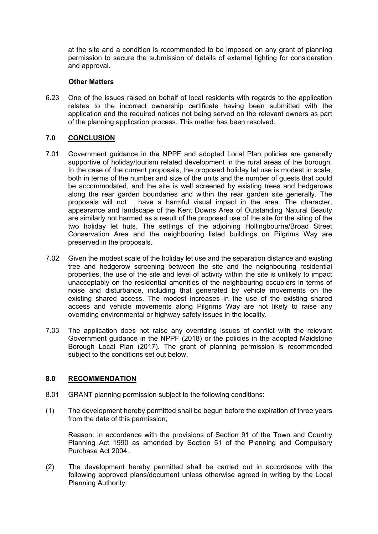at the site and a condition is recommended to be imposed on any grant of planning permission to secure the submission of details of external lighting for consideration and approval.

#### **Other Matters**

6.23 One of the issues raised on behalf of local residents with regards to the application relates to the incorrect ownership certificate having been submitted with the application and the required notices not being served on the relevant owners as part of the planning application process. This matter has been resolved.

## **7.0 CONCLUSION**

- 7.01 Government guidance in the NPPF and adopted Local Plan policies are generally supportive of holiday/tourism related development in the rural areas of the borough. In the case of the current proposals, the proposed holiday let use is modest in scale, both in terms of the number and size of the units and the number of guests that could be accommodated, and the site is well screened by existing trees and hedgerows along the rear garden boundaries and within the rear garden site generally. The proposals will not have a harmful visual impact in the area. The character, appearance and landscape of the Kent Downs Area of Outstanding Natural Beauty are similarly not harmed as a result of the proposed use of the site for the siting of the two holiday let huts. The settings of the adjoining Hollingbourne/Broad Street Conservation Area and the neighbouring listed buildings on Pilgrims Way are preserved in the proposals.
- 7.02 Given the modest scale of the holiday let use and the separation distance and existing tree and hedgerow screening between the site and the neighbouring residential properties, the use of the site and level of activity within the site is unlikely to impact unacceptably on the residential amenities of the neighbouring occupiers in terms of noise and disturbance, including that generated by vehicle movements on the existing shared access. The modest increases in the use of the existing shared access and vehicle movements along Pilgrims Way are not likely to raise any overriding environmental or highway safety issues in the locality.
- 7.03 The application does not raise any overriding issues of conflict with the relevant Government guidance in the NPPF (2018) or the policies in the adopted Maidstone Borough Local Plan (2017). The grant of planning permission is recommended subject to the conditions set out below.

### **8.0 RECOMMENDATION**

- 8.01 GRANT planning permission subject to the following conditions:
- (1) The development hereby permitted shall be begun before the expiration of three years from the date of this permission;

Reason: In accordance with the provisions of Section 91 of the Town and Country Planning Act 1990 as amended by Section 51 of the Planning and Compulsory Purchase Act 2004.

(2) The development hereby permitted shall be carried out in accordance with the following approved plans/document unless otherwise agreed in writing by the Local Planning Authority: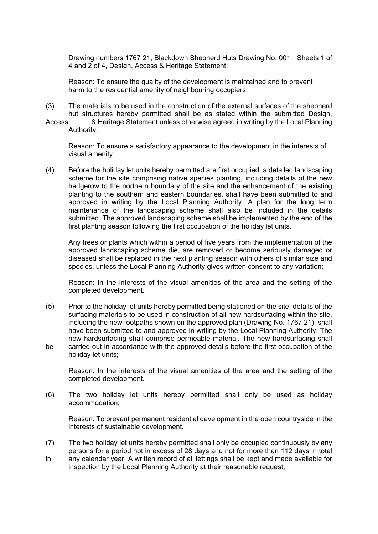Drawing numbers 1767 21, Blackdown Shepherd Huts Drawing No. 001 Sheets 1 of 4 and 2 of 4, Design, Access & Heritage Statement;

Reason: To ensure the quality of the development is maintained and to prevent harm to the residential amenity of neighbouring occupiers.

- (3) The materials to be used in the construction of the external surfaces of the shepherd hut structures hereby permitted shall be as stated within the submitted Design,
- Access & Heritage Statement unless otherwise agreed in writing by the Local Planning Authority;

Reason: To ensure a satisfactory appearance to the development in the interests of visual amenity.

(4) Before the holiday let units hereby permitted are first occupied, a detailed landscaping scheme for the site comprising native species planting, including details of the new hedgerow to the northern boundary of the site and the enhancement of the existing planting to the southern and eastern boundaries, shall have been submitted to and approved in writing by the Local Planning Authority. A plan for the long term maintenance of the landscaping scheme shall also be included in the details submitted. The approved landscaping scheme shall be implemented by the end of the first planting season following the first occupation of the holiday let units.

Any trees or plants which within a period of five years from the implementation of the approved landscaping scheme die, are removed or become seriously damaged or diseased shall be replaced in the next planting season with others of similar size and species, unless the Local Planning Authority gives written consent to any variation;

Reason: In the interests of the visual amenities of the area and the setting of the completed development.

(5) Prior to the holiday let units hereby permitted being stationed on the site, details of the surfacing materials to be used in construction of all new hardsurfacing within the site, including the new footpaths shown on the approved plan (Drawing No. 1767 21), shall have been submitted to and approved in writing by the Local Planning Authority. The new hardsurfacing shall comprise permeable material. The new hardsurfacing shall be carried out in accordance with the approved details before the first occupation of the holiday let units;

Reason: In the interests of the visual amenities of the area and the setting of the completed development.

(6) The two holiday let units hereby permitted shall only be used as holiday accommodation;

Reason: To prevent permanent residential development in the open countryside in the interests of sustainable development.

- (7) The two holiday let units hereby permitted shall only be occupied continuously by any persons for a period not in excess of 28 days and not for more than 112 days in total
- in any calendar year. A written record of all lettings shall be kept and made available for inspection by the Local Planning Authority at their reasonable request;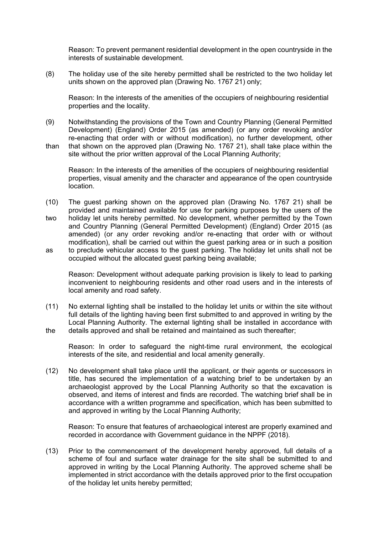Reason: To prevent permanent residential development in the open countryside in the interests of sustainable development.

(8) The holiday use of the site hereby permitted shall be restricted to the two holiday let units shown on the approved plan (Drawing No. 1767 21) only;

Reason: In the interests of the amenities of the occupiers of neighbouring residential properties and the locality.

- (9) Notwithstanding the provisions of the Town and Country Planning (General Permitted Development) (England) Order 2015 (as amended) (or any order revoking and/or re-enacting that order with or without modification), no further development, other than that shown on the approved plan (Drawing No. 1767 21), shall take place within the
- site without the prior written approval of the Local Planning Authority;

Reason: In the interests of the amenities of the occupiers of neighbouring residential properties, visual amenity and the character and appearance of the open countryside location.

- (10) The guest parking shown on the approved plan (Drawing No. 1767 21) shall be provided and maintained available for use for parking purposes by the users of the two holiday let units hereby permitted. No development, whether permitted by the Town and Country Planning (General Permitted Development) (England) Order 2015 (as amended) (or any order revoking and/or re-enacting that order with or without modification), shall be carried out within the guest parking area or in such a position as to preclude vehicular access to the guest parking. The holiday let units shall not be
- occupied without the allocated guest parking being available;

Reason: Development without adequate parking provision is likely to lead to parking inconvenient to neighbouring residents and other road users and in the interests of local amenity and road safety.

(11) No external lighting shall be installed to the holiday let units or within the site without full details of the lighting having been first submitted to and approved in writing by the Local Planning Authority. The external lighting shall be installed in accordance with the details approved and shall be retained and maintained as such thereafter;

Reason: In order to safeguard the night-time rural environment, the ecological interests of the site, and residential and local amenity generally.

(12) No development shall take place until the applicant, or their agents or successors in title, has secured the implementation of a watching brief to be undertaken by an archaeologist approved by the Local Planning Authority so that the excavation is observed, and items of interest and finds are recorded. The watching brief shall be in accordance with a written programme and specification, which has been submitted to and approved in writing by the Local Planning Authority;

Reason: To ensure that features of archaeological interest are properly examined and recorded in accordance with Government guidance in the NPPF (2018).

(13) Prior to the commencement of the development hereby approved, full details of a scheme of foul and surface water drainage for the site shall be submitted to and approved in writing by the Local Planning Authority. The approved scheme shall be implemented in strict accordance with the details approved prior to the first occupation of the holiday let units hereby permitted;